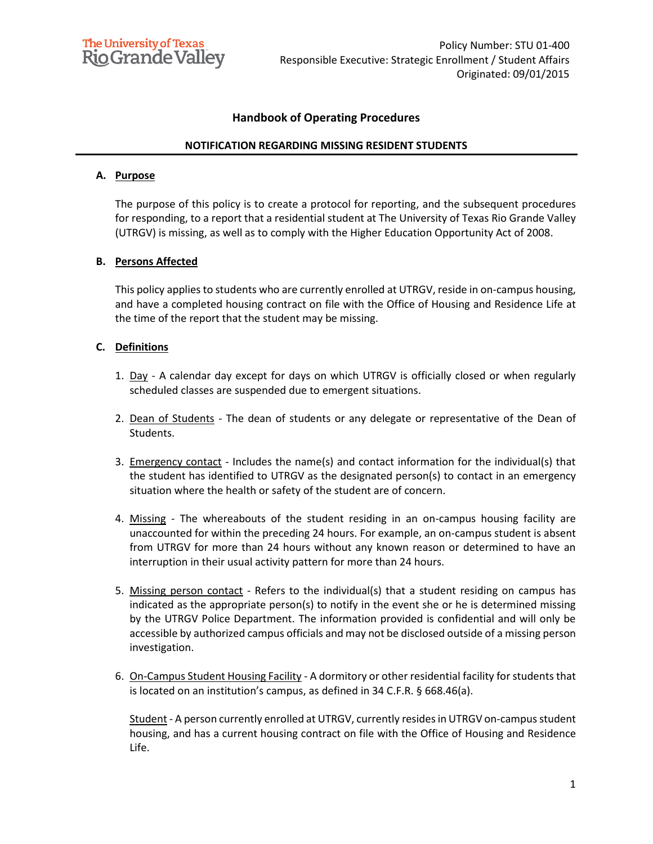## **Handbook of Operating Procedures**

### **NOTIFICATION REGARDING MISSING RESIDENT STUDENTS**

#### **A. Purpose**

The purpose of this policy is to create a protocol for reporting, and the subsequent procedures for responding, to a report that a residential student at The University of Texas Rio Grande Valley (UTRGV) is missing, as well as to comply with the Higher Education Opportunity Act of 2008.

### **B. Persons Affected**

This policy applies to students who are currently enrolled at UTRGV, reside in on-campus housing, and have a completed housing contract on file with the Office of Housing and Residence Life at the time of the report that the student may be missing.

#### **C. Definitions**

- 1. Day A calendar day except for days on which UTRGV is officially closed or when regularly scheduled classes are suspended due to emergent situations.
- 2. Dean of Students The dean of students or any delegate or representative of the Dean of Students.
- 3. Emergency contact Includes the name(s) and contact information for the individual(s) that the student has identified to UTRGV as the designated person(s) to contact in an emergency situation where the health or safety of the student are of concern.
- 4. Missing The whereabouts of the student residing in an on-campus housing facility are unaccounted for within the preceding 24 hours. For example, an on-campus student is absent from UTRGV for more than 24 hours without any known reason or determined to have an interruption in their usual activity pattern for more than 24 hours.
- 5. Missing person contact Refers to the individual(s) that a student residing on campus has indicated as the appropriate person(s) to notify in the event she or he is determined missing by the UTRGV Police Department. The information provided is confidential and will only be accessible by authorized campus officials and may not be disclosed outside of a missing person investigation.
- 6. On-Campus Student Housing Facility A dormitory or other residential facility for students that is located on an institution's campus, as defined in 34 C.F.R. § 668.46(a).

Student - A person currently enrolled at UTRGV, currently resides in UTRGV on-campus student housing, and has a current housing contract on file with the Office of Housing and Residence Life.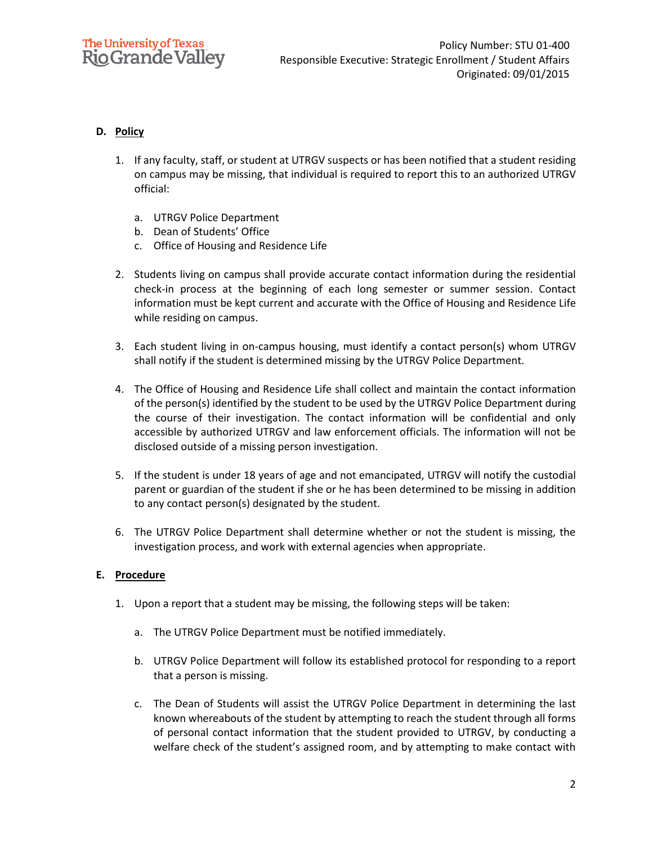# **D. Policy**

- 1. If any faculty, staff, or student at UTRGV suspects or has been notified that a student residing on campus may be missing, that individual is required to report this to an authorized UTRGV official:
	- a. UTRGV Police Department
	- b. Dean of Students' Office
	- c. Office of Housing and Residence Life
- 2. Students living on campus shall provide accurate contact information during the residential check-in process at the beginning of each long semester or summer session. Contact information must be kept current and accurate with the Office of Housing and Residence Life while residing on campus.
- 3. Each student living in on-campus housing, must identify a contact person(s) whom UTRGV shall notify if the student is determined missing by the UTRGV Police Department.
- 4. The Office of Housing and Residence Life shall collect and maintain the contact information of the person(s) identified by the student to be used by the UTRGV Police Department during the course of their investigation. The contact information will be confidential and only accessible by authorized UTRGV and law enforcement officials. The information will not be disclosed outside of a missing person investigation.
- 5. If the student is under 18 years of age and not emancipated, UTRGV will notify the custodial parent or guardian of the student if she or he has been determined to be missing in addition to any contact person(s) designated by the student.
- 6. The UTRGV Police Department shall determine whether or not the student is missing, the investigation process, and work with external agencies when appropriate.

## **E. Procedure**

- 1. Upon a report that a student may be missing, the following steps will be taken:
	- a. The UTRGV Police Department must be notified immediately.
	- b. UTRGV Police Department will follow its established protocol for responding to a report that a person is missing.
	- c. The Dean of Students will assist the UTRGV Police Department in determining the last known whereabouts of the student by attempting to reach the student through all forms of personal contact information that the student provided to UTRGV, by conducting a welfare check of the student's assigned room, and by attempting to make contact with